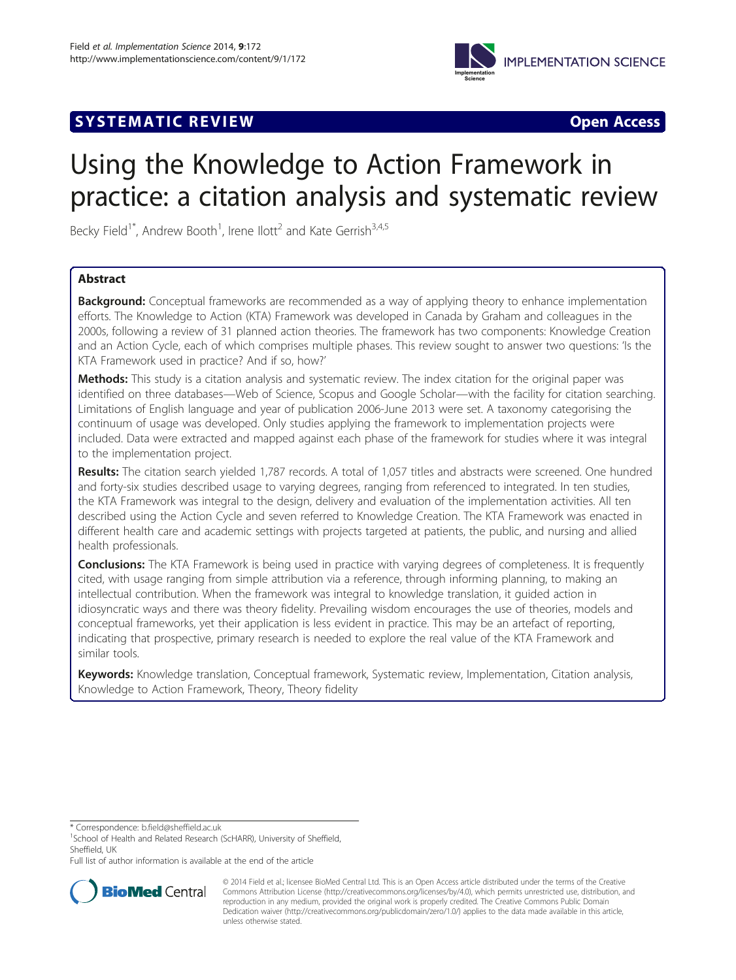

# **SYSTEMATIC REVIEW CONTROL** CONTROL CONTROL CONTROL CONTROL CONTROL CONTROL CONTROL CONTROL CONTROL CONTROL CONTROL CONTROL CONTROL CONTROL CONTROL CONTROL CONTROL CONTROL CONTROL CONTROL CONTROL CONTROL CONTROL CONTROL CO

# Using the Knowledge to Action Framework in practice: a citation analysis and systematic review

Becky Field<sup>1\*</sup>, Andrew Booth<sup>1</sup>, Irene Ilott<sup>2</sup> and Kate Gerrish<sup>3,4,5</sup>

# Abstract

**Background:** Conceptual frameworks are recommended as a way of applying theory to enhance implementation efforts. The Knowledge to Action (KTA) Framework was developed in Canada by Graham and colleagues in the 2000s, following a review of 31 planned action theories. The framework has two components: Knowledge Creation and an Action Cycle, each of which comprises multiple phases. This review sought to answer two questions: 'Is the KTA Framework used in practice? And if so, how?'

Methods: This study is a citation analysis and systematic review. The index citation for the original paper was identified on three databases—Web of Science, Scopus and Google Scholar—with the facility for citation searching. Limitations of English language and year of publication 2006-June 2013 were set. A taxonomy categorising the continuum of usage was developed. Only studies applying the framework to implementation projects were included. Data were extracted and mapped against each phase of the framework for studies where it was integral to the implementation project.

Results: The citation search yielded 1,787 records. A total of 1,057 titles and abstracts were screened. One hundred and forty-six studies described usage to varying degrees, ranging from referenced to integrated. In ten studies, the KTA Framework was integral to the design, delivery and evaluation of the implementation activities. All ten described using the Action Cycle and seven referred to Knowledge Creation. The KTA Framework was enacted in different health care and academic settings with projects targeted at patients, the public, and nursing and allied health professionals.

**Conclusions:** The KTA Framework is being used in practice with varying degrees of completeness. It is frequently cited, with usage ranging from simple attribution via a reference, through informing planning, to making an intellectual contribution. When the framework was integral to knowledge translation, it guided action in idiosyncratic ways and there was theory fidelity. Prevailing wisdom encourages the use of theories, models and conceptual frameworks, yet their application is less evident in practice. This may be an artefact of reporting, indicating that prospective, primary research is needed to explore the real value of the KTA Framework and similar tools.

Keywords: Knowledge translation, Conceptual framework, Systematic review, Implementation, Citation analysis, Knowledge to Action Framework, Theory, Theory fidelity

\* Correspondence: [b.field@sheffield.ac.uk](mailto:b.field@sheffield.ac.uk) <sup>1</sup>

<sup>1</sup>School of Health and Related Research (ScHARR), University of Sheffield, Sheffield, UK

Full list of author information is available at the end of the article



<sup>© 2014</sup> Field et al.; licensee BioMed Central Ltd. This is an Open Access article distributed under the terms of the Creative Commons Attribution License [\(http://creativecommons.org/licenses/by/4.0\)](http://creativecommons.org/licenses/by/4.0), which permits unrestricted use, distribution, and reproduction in any medium, provided the original work is properly credited. The Creative Commons Public Domain Dedication waiver [\(http://creativecommons.org/publicdomain/zero/1.0/](http://creativecommons.org/publicdomain/zero/1.0/)) applies to the data made available in this article, unless otherwise stated.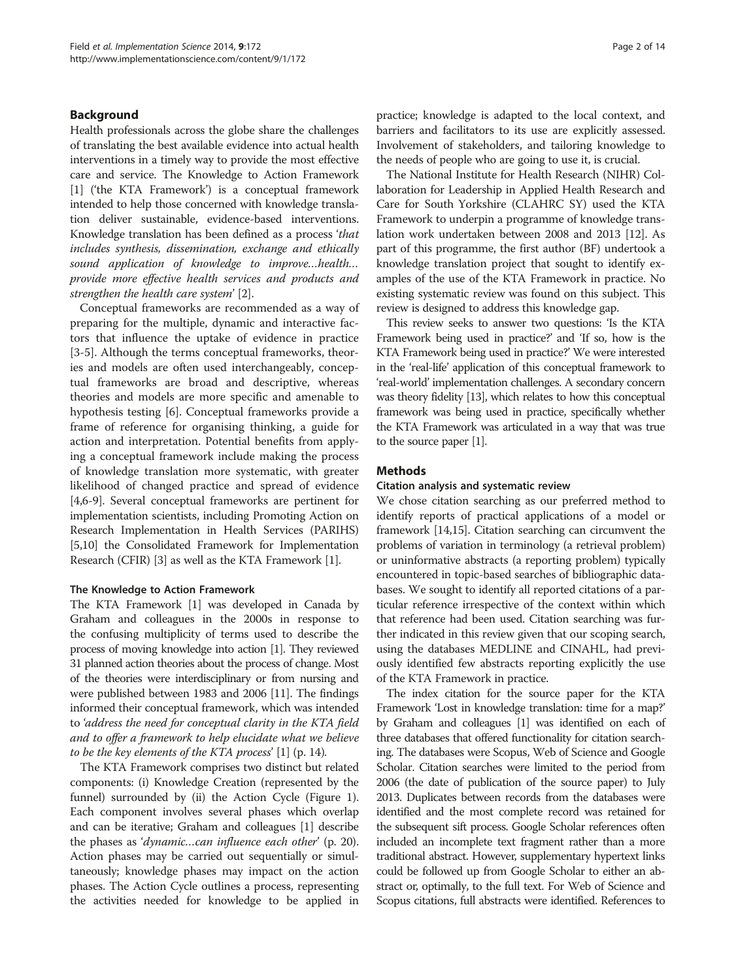# Background

Health professionals across the globe share the challenges of translating the best available evidence into actual health interventions in a timely way to provide the most effective care and service. The Knowledge to Action Framework [[1\]](#page-12-0) ('the KTA Framework') is a conceptual framework intended to help those concerned with knowledge translation deliver sustainable, evidence-based interventions. Knowledge translation has been defined as a process 'that includes synthesis, dissemination, exchange and ethically sound application of knowledge to improve…health… provide more effective health services and products and strengthen the health care system' [[2](#page-12-0)].

Conceptual frameworks are recommended as a way of preparing for the multiple, dynamic and interactive factors that influence the uptake of evidence in practice [[3-5](#page-12-0)]. Although the terms conceptual frameworks, theories and models are often used interchangeably, conceptual frameworks are broad and descriptive, whereas theories and models are more specific and amenable to hypothesis testing [[6\]](#page-12-0). Conceptual frameworks provide a frame of reference for organising thinking, a guide for action and interpretation. Potential benefits from applying a conceptual framework include making the process of knowledge translation more systematic, with greater likelihood of changed practice and spread of evidence [[4,6-9\]](#page-12-0). Several conceptual frameworks are pertinent for implementation scientists, including Promoting Action on Research Implementation in Health Services (PARIHS) [[5,10](#page-12-0)] the Consolidated Framework for Implementation Research (CFIR) [\[3](#page-12-0)] as well as the KTA Framework [\[1](#page-12-0)].

#### The Knowledge to Action Framework

The KTA Framework [\[1](#page-12-0)] was developed in Canada by Graham and colleagues in the 2000s in response to the confusing multiplicity of terms used to describe the process of moving knowledge into action [[1](#page-12-0)]. They reviewed 31 planned action theories about the process of change. Most of the theories were interdisciplinary or from nursing and were published between 1983 and 2006 [\[11\]](#page-12-0). The findings informed their conceptual framework, which was intended to 'address the need for conceptual clarity in the KTA field and to offer a framework to help elucidate what we believe to be the key elements of the KTA process' [[1\]](#page-12-0) (p. 14).

The KTA Framework comprises two distinct but related components: (i) Knowledge Creation (represented by the funnel) surrounded by (ii) the Action Cycle (Figure [1](#page-2-0)). Each component involves several phases which overlap and can be iterative; Graham and colleagues [\[1\]](#page-12-0) describe the phases as 'dynamic…can influence each other' (p. 20). Action phases may be carried out sequentially or simultaneously; knowledge phases may impact on the action phases. The Action Cycle outlines a process, representing the activities needed for knowledge to be applied in practice; knowledge is adapted to the local context, and barriers and facilitators to its use are explicitly assessed. Involvement of stakeholders, and tailoring knowledge to the needs of people who are going to use it, is crucial.

The National Institute for Health Research (NIHR) Collaboration for Leadership in Applied Health Research and Care for South Yorkshire (CLAHRC SY) used the KTA Framework to underpin a programme of knowledge translation work undertaken between 2008 and 2013 [\[12\]](#page-12-0). As part of this programme, the first author (BF) undertook a knowledge translation project that sought to identify examples of the use of the KTA Framework in practice. No existing systematic review was found on this subject. This review is designed to address this knowledge gap.

This review seeks to answer two questions: 'Is the KTA Framework being used in practice?' and 'If so, how is the KTA Framework being used in practice?' We were interested in the 'real-life' application of this conceptual framework to 'real-world' implementation challenges. A secondary concern was theory fidelity [\[13\]](#page-12-0), which relates to how this conceptual framework was being used in practice, specifically whether the KTA Framework was articulated in a way that was true to the source paper [[1](#page-12-0)].

# **Methods**

#### Citation analysis and systematic review

We chose citation searching as our preferred method to identify reports of practical applications of a model or framework [\[14,15\]](#page-13-0). Citation searching can circumvent the problems of variation in terminology (a retrieval problem) or uninformative abstracts (a reporting problem) typically encountered in topic-based searches of bibliographic databases. We sought to identify all reported citations of a particular reference irrespective of the context within which that reference had been used. Citation searching was further indicated in this review given that our scoping search, using the databases MEDLINE and CINAHL, had previously identified few abstracts reporting explicitly the use of the KTA Framework in practice.

The index citation for the source paper for the KTA Framework 'Lost in knowledge translation: time for a map?' by Graham and colleagues [\[1\]](#page-12-0) was identified on each of three databases that offered functionality for citation searching. The databases were Scopus, Web of Science and Google Scholar. Citation searches were limited to the period from 2006 (the date of publication of the source paper) to July 2013. Duplicates between records from the databases were identified and the most complete record was retained for the subsequent sift process. Google Scholar references often included an incomplete text fragment rather than a more traditional abstract. However, supplementary hypertext links could be followed up from Google Scholar to either an abstract or, optimally, to the full text. For Web of Science and Scopus citations, full abstracts were identified. References to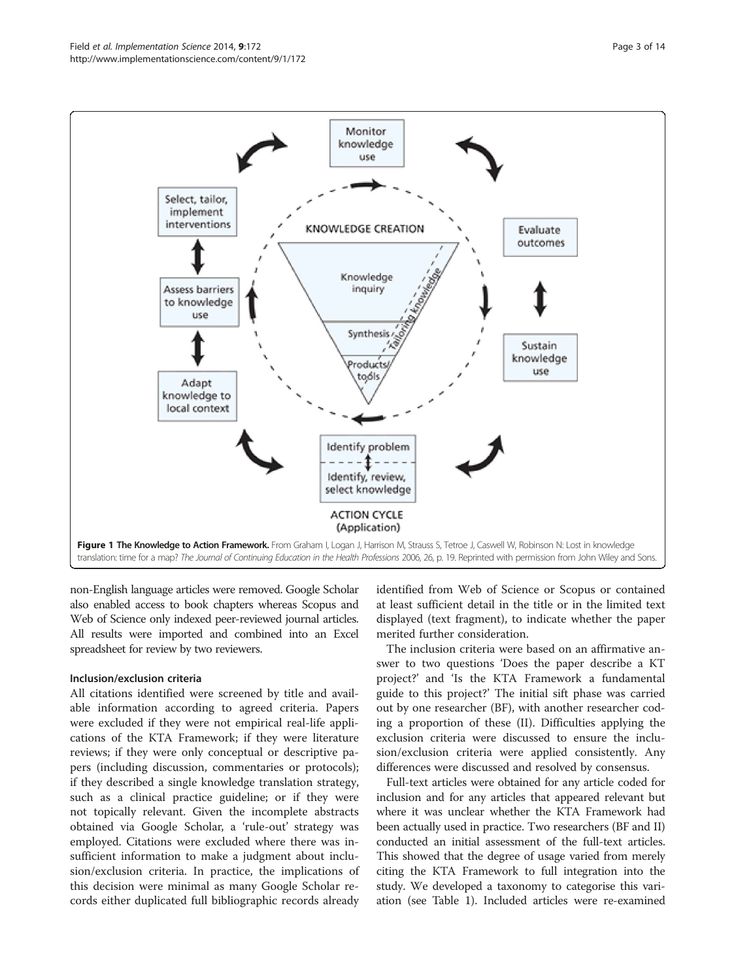<span id="page-2-0"></span>

non-English language articles were removed. Google Scholar also enabled access to book chapters whereas Scopus and Web of Science only indexed peer-reviewed journal articles. All results were imported and combined into an Excel spreadsheet for review by two reviewers.

# Inclusion/exclusion criteria

All citations identified were screened by title and available information according to agreed criteria. Papers were excluded if they were not empirical real-life applications of the KTA Framework; if they were literature reviews; if they were only conceptual or descriptive papers (including discussion, commentaries or protocols); if they described a single knowledge translation strategy, such as a clinical practice guideline; or if they were not topically relevant. Given the incomplete abstracts obtained via Google Scholar, a 'rule-out' strategy was employed. Citations were excluded where there was insufficient information to make a judgment about inclusion/exclusion criteria. In practice, the implications of this decision were minimal as many Google Scholar records either duplicated full bibliographic records already identified from Web of Science or Scopus or contained at least sufficient detail in the title or in the limited text displayed (text fragment), to indicate whether the paper merited further consideration.

The inclusion criteria were based on an affirmative answer to two questions 'Does the paper describe a KT project?' and 'Is the KTA Framework a fundamental guide to this project?' The initial sift phase was carried out by one researcher (BF), with another researcher coding a proportion of these (II). Difficulties applying the exclusion criteria were discussed to ensure the inclusion/exclusion criteria were applied consistently. Any differences were discussed and resolved by consensus.

Full-text articles were obtained for any article coded for inclusion and for any articles that appeared relevant but where it was unclear whether the KTA Framework had been actually used in practice. Two researchers (BF and II) conducted an initial assessment of the full-text articles. This showed that the degree of usage varied from merely citing the KTA Framework to full integration into the study. We developed a taxonomy to categorise this variation (see Table [1](#page-3-0)). Included articles were re-examined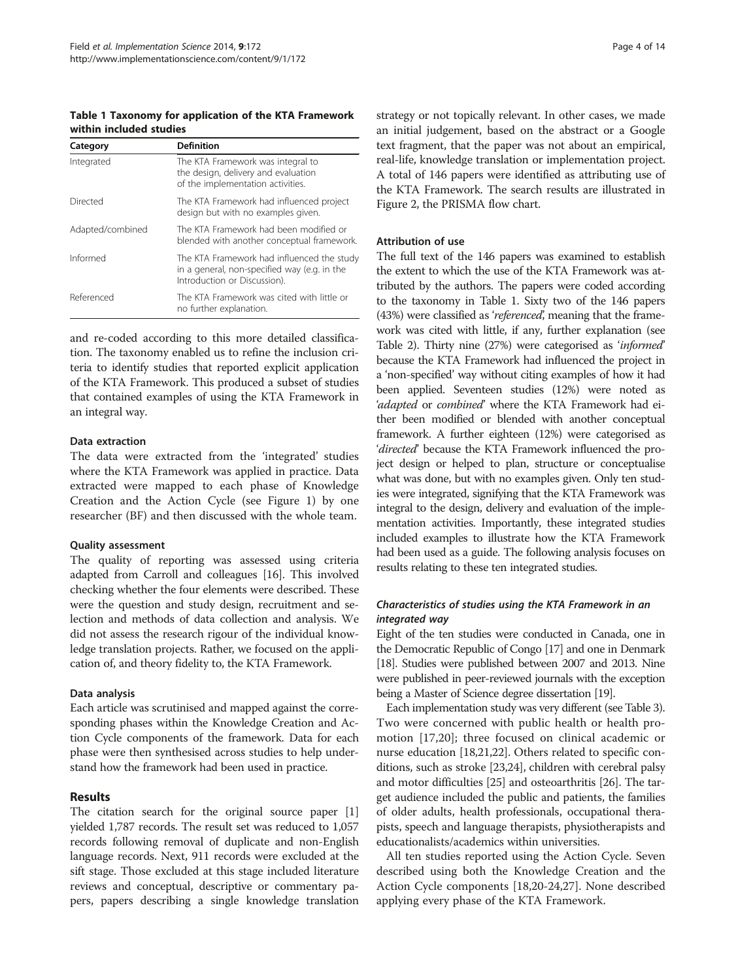<span id="page-3-0"></span>Table 1 Taxonomy for application of the KTA Framework within included studies

| Category         | <b>Definition</b>                                                                                                          |
|------------------|----------------------------------------------------------------------------------------------------------------------------|
| Integrated       | The KTA Framework was integral to<br>the design, delivery and evaluation<br>of the implementation activities.              |
| Directed         | The KTA Framework had influenced project<br>design but with no examples given.                                             |
| Adapted/combined | The KTA Framework had been modified or<br>blended with another conceptual framework.                                       |
| Informed         | The KTA Framework had influenced the study<br>in a general, non-specified way (e.g. in the<br>Introduction or Discussion). |
| Referenced       | The KTA Framework was cited with little or<br>no further explanation.                                                      |

and re-coded according to this more detailed classification. The taxonomy enabled us to refine the inclusion criteria to identify studies that reported explicit application of the KTA Framework. This produced a subset of studies that contained examples of using the KTA Framework in an integral way.

#### Data extraction

The data were extracted from the 'integrated' studies where the KTA Framework was applied in practice. Data extracted were mapped to each phase of Knowledge Creation and the Action Cycle (see Figure [1\)](#page-2-0) by one researcher (BF) and then discussed with the whole team.

#### Quality assessment

The quality of reporting was assessed using criteria adapted from Carroll and colleagues [[16](#page-13-0)]. This involved checking whether the four elements were described. These were the question and study design, recruitment and selection and methods of data collection and analysis. We did not assess the research rigour of the individual knowledge translation projects. Rather, we focused on the application of, and theory fidelity to, the KTA Framework.

# Data analysis

Each article was scrutinised and mapped against the corresponding phases within the Knowledge Creation and Action Cycle components of the framework. Data for each phase were then synthesised across studies to help understand how the framework had been used in practice.

# Results

The citation search for the original source paper [[1](#page-12-0)] yielded 1,787 records. The result set was reduced to 1,057 records following removal of duplicate and non-English language records. Next, 911 records were excluded at the sift stage. Those excluded at this stage included literature reviews and conceptual, descriptive or commentary papers, papers describing a single knowledge translation strategy or not topically relevant. In other cases, we made an initial judgement, based on the abstract or a Google text fragment, that the paper was not about an empirical, real-life, knowledge translation or implementation project. A total of 146 papers were identified as attributing use of the KTA Framework. The search results are illustrated in Figure [2](#page-4-0), the PRISMA flow chart.

# Attribution of use

The full text of the 146 papers was examined to establish the extent to which the use of the KTA Framework was attributed by the authors. The papers were coded according to the taxonomy in Table 1. Sixty two of the 146 papers (43%) were classified as *'referenced*', meaning that the framework was cited with little, if any, further explanation (see Table 2). Thirty nine (27%) were categorised as 'informed' because the KTA Framework had influenced the project in a 'non-specified' way without citing examples of how it had been applied. Seventeen studies (12%) were noted as 'adapted or combined' where the KTA Framework had either been modified or blended with another conceptual framework. A further eighteen (12%) were categorised as 'directed' because the KTA Framework influenced the project design or helped to plan, structure or conceptualise what was done, but with no examples given. Only ten studies were integrated, signifying that the KTA Framework was integral to the design, delivery and evaluation of the implementation activities. Importantly, these integrated studies included examples to illustrate how the KTA Framework had been used as a guide. The following analysis focuses on results relating to these ten integrated studies.

# Characteristics of studies using the KTA Framework in an integrated way

Eight of the ten studies were conducted in Canada, one in the Democratic Republic of Congo [\[17](#page-13-0)] and one in Denmark [[18\]](#page-13-0). Studies were published between 2007 and 2013. Nine were published in peer-reviewed journals with the exception being a Master of Science degree dissertation [\[19](#page-13-0)].

Each implementation study was very different (see Table [3\)](#page-5-0). Two were concerned with public health or health promotion [[17,20\]](#page-13-0); three focused on clinical academic or nurse education [\[18,21,22](#page-13-0)]. Others related to specific conditions, such as stroke [\[23,24](#page-13-0)], children with cerebral palsy and motor difficulties [[25](#page-13-0)] and osteoarthritis [\[26\]](#page-13-0). The target audience included the public and patients, the families of older adults, health professionals, occupational therapists, speech and language therapists, physiotherapists and educationalists/academics within universities.

All ten studies reported using the Action Cycle. Seven described using both the Knowledge Creation and the Action Cycle components [\[18,20](#page-13-0)-[24](#page-13-0),[27](#page-13-0)]. None described applying every phase of the KTA Framework.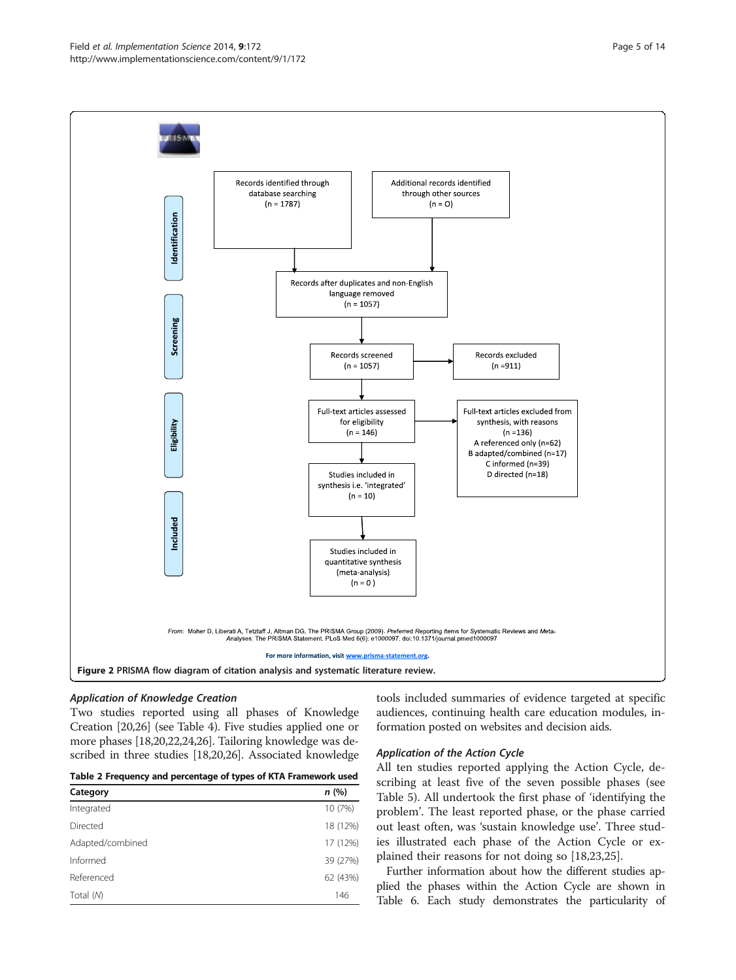<span id="page-4-0"></span>

# Application of Knowledge Creation

Two studies reported using all phases of Knowledge Creation [[20,26\]](#page-13-0) (see Table [4](#page-6-0)). Five studies applied one or more phases [\[18,20,22,24,26\]](#page-13-0). Tailoring knowledge was described in three studies [\[18,20,26](#page-13-0)]. Associated knowledge

| Table 2 Frequency and percentage of types of KTA Framework used |  |  |  |
|-----------------------------------------------------------------|--|--|--|
|-----------------------------------------------------------------|--|--|--|

| Category         | n(%)     |
|------------------|----------|
| Integrated       | 10 (7%)  |
| Directed         | 18 (12%) |
| Adapted/combined | 17 (12%) |
| Informed         | 39 (27%) |
| Referenced       | 62 (43%) |
| Total (N)        | 146      |

tools included summaries of evidence targeted at specific audiences, continuing health care education modules, information posted on websites and decision aids.

# Application of the Action Cycle

All ten studies reported applying the Action Cycle, describing at least five of the seven possible phases (see Table [5\)](#page-7-0). All undertook the first phase of 'identifying the problem'. The least reported phase, or the phase carried out least often, was 'sustain knowledge use'. Three studies illustrated each phase of the Action Cycle or explained their reasons for not doing so [\[18,23,25](#page-13-0)].

Further information about how the different studies applied the phases within the Action Cycle are shown in Table [6](#page-8-0). Each study demonstrates the particularity of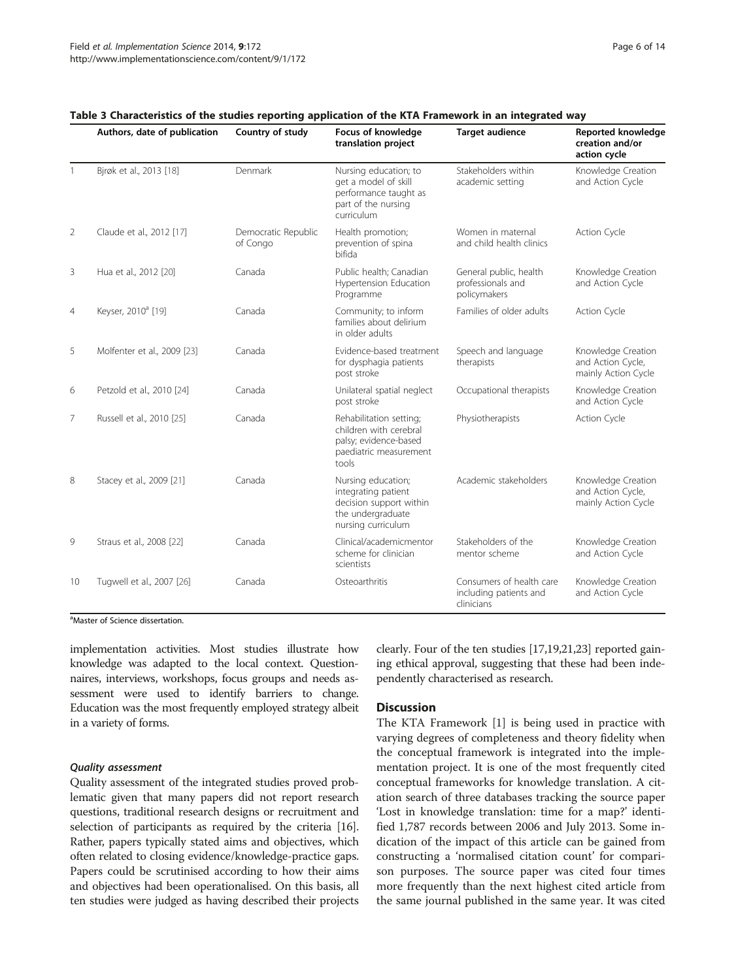|                | Authors, date of publication   | Country of study                | Focus of knowledge<br>translation project                                                                       | <b>Target audience</b>                                           | <b>Reported knowledge</b><br>creation and/or<br>action cycle   |
|----------------|--------------------------------|---------------------------------|-----------------------------------------------------------------------------------------------------------------|------------------------------------------------------------------|----------------------------------------------------------------|
|                | Bjrøk et al., 2013 [18]        | Denmark                         | Nursing education; to<br>get a model of skill<br>performance taught as<br>part of the nursing<br>curriculum     | Stakeholders within<br>academic setting                          | Knowledge Creation<br>and Action Cycle                         |
| 2              | Claude et al., 2012 [17]       | Democratic Republic<br>of Congo | Health promotion;<br>prevention of spina<br>bifida                                                              | Women in maternal<br>and child health clinics                    | Action Cycle                                                   |
| 3              | Hua et al., 2012 [20]          | Canada                          | Public health; Canadian<br>Hypertension Education<br>Programme                                                  | General public, health<br>professionals and<br>policymakers      | Knowledge Creation<br>and Action Cycle                         |
| $\overline{4}$ | Keyser, 2010 <sup>a</sup> [19] | Canada                          | Community; to inform<br>families about delirium<br>in older adults                                              | Families of older adults                                         | Action Cycle                                                   |
| 5              | Molfenter et al., 2009 [23]    | Canada                          | Evidence-based treatment<br>for dysphagia patients<br>post stroke                                               | Speech and language<br>therapists                                | Knowledge Creation<br>and Action Cycle,<br>mainly Action Cycle |
| 6              | Petzold et al., 2010 [24]      | Canada                          | Unilateral spatial neglect<br>post stroke                                                                       | Occupational therapists                                          | Knowledge Creation<br>and Action Cycle                         |
| 7              | Russell et al., 2010 [25]      | Canada                          | Rehabilitation setting;<br>children with cerebral<br>palsy; evidence-based<br>paediatric measurement<br>tools   | Physiotherapists                                                 | <b>Action Cycle</b>                                            |
| 8              | Stacey et al., 2009 [21]       | Canada                          | Nursing education;<br>integrating patient<br>decision support within<br>the undergraduate<br>nursing curriculum | Academic stakeholders                                            | Knowledge Creation<br>and Action Cycle,<br>mainly Action Cycle |
| 9              | Straus et al., 2008 [22]       | Canada                          | Clinical/academicmentor<br>scheme for clinician<br>scientists                                                   | Stakeholders of the<br>mentor scheme                             | Knowledge Creation<br>and Action Cycle                         |
| 10             | Tugwell et al., 2007 [26]      | Canada                          | Osteoarthritis                                                                                                  | Consumers of health care<br>including patients and<br>clinicians | Knowledge Creation<br>and Action Cycle                         |

#### <span id="page-5-0"></span>Table 3 Characteristics of the studies reporting application of the KTA Framework in an integrated way

<sup>a</sup>Master of Science dissertation.

implementation activities. Most studies illustrate how knowledge was adapted to the local context. Questionnaires, interviews, workshops, focus groups and needs assessment were used to identify barriers to change. Education was the most frequently employed strategy albeit in a variety of forms.

#### Quality assessment

Quality assessment of the integrated studies proved problematic given that many papers did not report research questions, traditional research designs or recruitment and selection of participants as required by the criteria [[16](#page-13-0)]. Rather, papers typically stated aims and objectives, which often related to closing evidence/knowledge-practice gaps. Papers could be scrutinised according to how their aims and objectives had been operationalised. On this basis, all ten studies were judged as having described their projects

clearly. Four of the ten studies [\[17,19](#page-13-0),[21,23\]](#page-13-0) reported gaining ethical approval, suggesting that these had been independently characterised as research.

#### **Discussion**

The KTA Framework [[1](#page-12-0)] is being used in practice with varying degrees of completeness and theory fidelity when the conceptual framework is integrated into the implementation project. It is one of the most frequently cited conceptual frameworks for knowledge translation. A citation search of three databases tracking the source paper 'Lost in knowledge translation: time for a map?' identified 1,787 records between 2006 and July 2013. Some indication of the impact of this article can be gained from constructing a 'normalised citation count' for comparison purposes. The source paper was cited four times more frequently than the next highest cited article from the same journal published in the same year. It was cited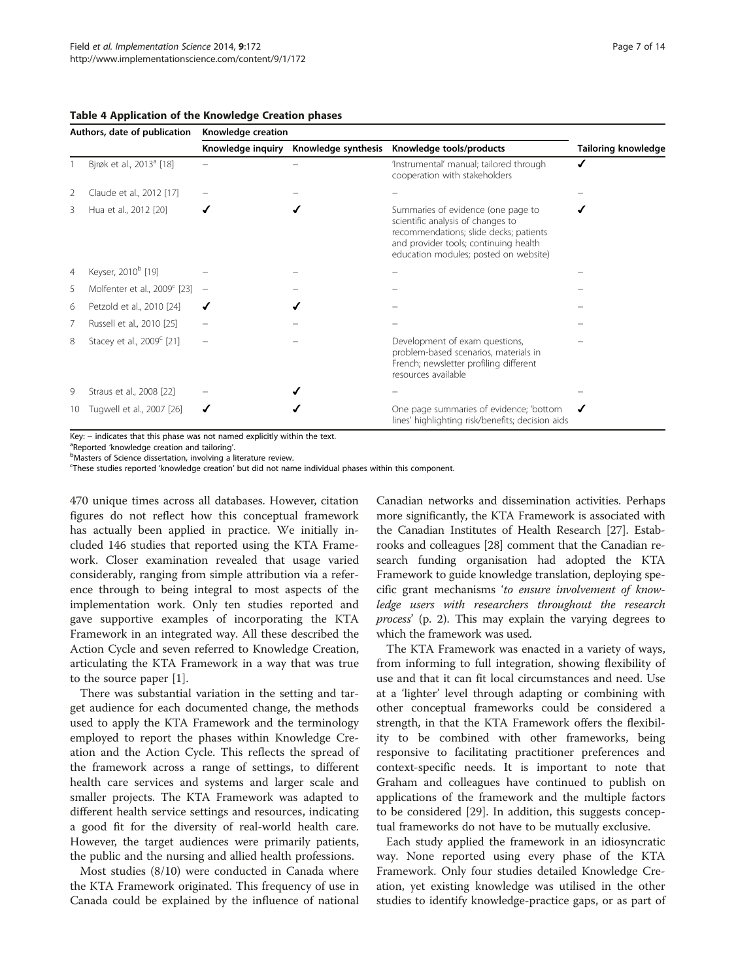| Authors, date of publication |                                          | Knowledge creation |                     |                                                                                                                                                                                                     |                     |
|------------------------------|------------------------------------------|--------------------|---------------------|-----------------------------------------------------------------------------------------------------------------------------------------------------------------------------------------------------|---------------------|
|                              |                                          | Knowledge inquiry  | Knowledge synthesis | Knowledge tools/products                                                                                                                                                                            | Tailoring knowledge |
|                              | Bjrøk et al., 2013 <sup>a</sup> [18]     |                    |                     | 'Instrumental' manual; tailored through<br>cooperation with stakeholders                                                                                                                            | ✔                   |
|                              | Claude et al., 2012 [17]                 |                    |                     |                                                                                                                                                                                                     |                     |
| 3                            | Hua et al., 2012 [20]                    |                    |                     | Summaries of evidence (one page to<br>scientific analysis of changes to<br>recommendations; slide decks; patients<br>and provider tools; continuing health<br>education modules; posted on website) |                     |
| $\overline{4}$               | Keyser, 2010 <sup>b</sup> [19]           |                    |                     |                                                                                                                                                                                                     |                     |
| 5                            | Molfenter et al., 2009 <sup>c</sup> [23] |                    |                     |                                                                                                                                                                                                     |                     |
| 6                            | Petzold et al., 2010 [24]                |                    |                     |                                                                                                                                                                                                     |                     |
|                              | Russell et al., 2010 [25]                |                    |                     |                                                                                                                                                                                                     |                     |
| 8                            | Stacey et al., 2009 <sup>c</sup> [21]    |                    |                     | Development of exam questions,<br>problem-based scenarios, materials in<br>French; newsletter profiling different<br>resources available                                                            |                     |
| 9                            | Straus et al., 2008 [22]                 |                    |                     |                                                                                                                                                                                                     |                     |
|                              | Tugwell et al., 2007 [26]                |                    |                     | One page summaries of evidence; 'bottom<br>lines' highlighting risk/benefits; decision aids                                                                                                         |                     |

#### <span id="page-6-0"></span>Table 4 Application of the Knowledge Creation phases

Key: - indicates that this phase was not named explicitly within the text.

<sup>a</sup>Reported 'knowledge creation and tailoring'.

Masters of Science dissertation, involving a literature review.

c These studies reported 'knowledge creation' but did not name individual phases within this component.

470 unique times across all databases. However, citation figures do not reflect how this conceptual framework has actually been applied in practice. We initially included 146 studies that reported using the KTA Framework. Closer examination revealed that usage varied considerably, ranging from simple attribution via a reference through to being integral to most aspects of the implementation work. Only ten studies reported and gave supportive examples of incorporating the KTA Framework in an integrated way. All these described the Action Cycle and seven referred to Knowledge Creation, articulating the KTA Framework in a way that was true to the source paper [\[1](#page-12-0)].

There was substantial variation in the setting and target audience for each documented change, the methods used to apply the KTA Framework and the terminology employed to report the phases within Knowledge Creation and the Action Cycle. This reflects the spread of the framework across a range of settings, to different health care services and systems and larger scale and smaller projects. The KTA Framework was adapted to different health service settings and resources, indicating a good fit for the diversity of real-world health care. However, the target audiences were primarily patients, the public and the nursing and allied health professions.

Most studies (8/10) were conducted in Canada where the KTA Framework originated. This frequency of use in Canada could be explained by the influence of national

Canadian networks and dissemination activities. Perhaps more significantly, the KTA Framework is associated with the Canadian Institutes of Health Research [\[27\]](#page-13-0). Estabrooks and colleagues [[28](#page-13-0)] comment that the Canadian research funding organisation had adopted the KTA Framework to guide knowledge translation, deploying specific grant mechanisms 'to ensure involvement of knowledge users with researchers throughout the research process' (p. 2). This may explain the varying degrees to which the framework was used.

The KTA Framework was enacted in a variety of ways, from informing to full integration, showing flexibility of use and that it can fit local circumstances and need. Use at a 'lighter' level through adapting or combining with other conceptual frameworks could be considered a strength, in that the KTA Framework offers the flexibility to be combined with other frameworks, being responsive to facilitating practitioner preferences and context-specific needs. It is important to note that Graham and colleagues have continued to publish on applications of the framework and the multiple factors to be considered [\[29](#page-13-0)]. In addition, this suggests conceptual frameworks do not have to be mutually exclusive.

Each study applied the framework in an idiosyncratic way. None reported using every phase of the KTA Framework. Only four studies detailed Knowledge Creation, yet existing knowledge was utilised in the other studies to identify knowledge-practice gaps, or as part of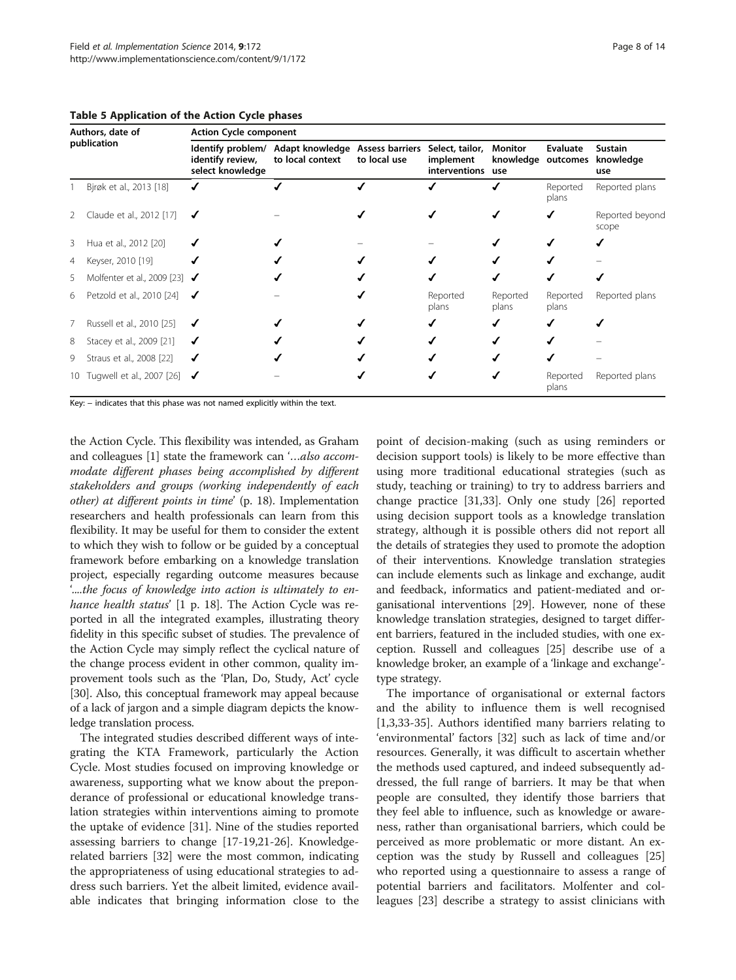| Authors, date of<br>publication |                                          | <b>Action Cycle component</b>        |                                                                       |              |                                                   |                      |                      |                             |  |
|---------------------------------|------------------------------------------|--------------------------------------|-----------------------------------------------------------------------|--------------|---------------------------------------------------|----------------------|----------------------|-----------------------------|--|
|                                 |                                          | identify review,<br>select knowledge | Identify problem/ Adapt knowledge Assess barriers<br>to local context | to local use | Select, tailor,<br>implement<br>interventions use | Monitor<br>knowledge | Evaluate<br>outcomes | Sustain<br>knowledge<br>use |  |
|                                 | Bjrøk et al., 2013 [18]                  |                                      |                                                                       |              |                                                   |                      | Reported<br>plans    | Reported plans              |  |
|                                 | Claude et al., 2012 [17]                 |                                      |                                                                       |              |                                                   |                      |                      | Reported beyond<br>scope    |  |
| 3                               | Hua et al., 2012 [20]                    |                                      |                                                                       |              |                                                   |                      |                      |                             |  |
| 4                               | Keyser, 2010 [19]                        |                                      |                                                                       |              |                                                   |                      |                      |                             |  |
| 5                               | Molfenter et al., 2009 [23] $\checkmark$ |                                      |                                                                       |              |                                                   |                      |                      |                             |  |
| 6                               | Petzold et al., 2010 [24] $\sqrt$        |                                      |                                                                       |              | Reported<br>plans                                 | Reported<br>plans    | Reported<br>plans    | Reported plans              |  |
|                                 | Russell et al., 2010 [25]                |                                      |                                                                       |              |                                                   |                      |                      |                             |  |
| 8                               | Stacey et al., 2009 [21]                 |                                      |                                                                       |              |                                                   |                      |                      |                             |  |
| 9                               | Straus et al., 2008 [22]                 |                                      |                                                                       |              |                                                   |                      |                      |                             |  |
|                                 | 10 Tugwell et al., 2007 [26] ✔           |                                      |                                                                       |              |                                                   |                      | Reported<br>plans    | Reported plans              |  |

<span id="page-7-0"></span>Table 5 Application of the Action Cycle phases

Key: - indicates that this phase was not named explicitly within the text.

the Action Cycle. This flexibility was intended, as Graham and colleagues [\[1](#page-12-0)] state the framework can '…also accommodate different phases being accomplished by different stakeholders and groups (working independently of each other) at different points in time' (p. 18). Implementation researchers and health professionals can learn from this flexibility. It may be useful for them to consider the extent to which they wish to follow or be guided by a conceptual framework before embarking on a knowledge translation project, especially regarding outcome measures because '....the focus of knowledge into action is ultimately to enhance health status' [1 p. 18]. The Action Cycle was reported in all the integrated examples, illustrating theory fidelity in this specific subset of studies. The prevalence of the Action Cycle may simply reflect the cyclical nature of the change process evident in other common, quality improvement tools such as the 'Plan, Do, Study, Act' cycle [[30](#page-13-0)]. Also, this conceptual framework may appeal because of a lack of jargon and a simple diagram depicts the knowledge translation process.

The integrated studies described different ways of integrating the KTA Framework, particularly the Action Cycle. Most studies focused on improving knowledge or awareness, supporting what we know about the preponderance of professional or educational knowledge translation strategies within interventions aiming to promote the uptake of evidence [[31\]](#page-13-0). Nine of the studies reported assessing barriers to change [\[17](#page-13-0)-[19](#page-13-0),[21-26\]](#page-13-0). Knowledgerelated barriers [[32\]](#page-13-0) were the most common, indicating the appropriateness of using educational strategies to address such barriers. Yet the albeit limited, evidence available indicates that bringing information close to the point of decision-making (such as using reminders or decision support tools) is likely to be more effective than using more traditional educational strategies (such as study, teaching or training) to try to address barriers and change practice [[31,33](#page-13-0)]. Only one study [[26\]](#page-13-0) reported using decision support tools as a knowledge translation strategy, although it is possible others did not report all the details of strategies they used to promote the adoption of their interventions. Knowledge translation strategies can include elements such as linkage and exchange, audit and feedback, informatics and patient-mediated and organisational interventions [[29](#page-13-0)]. However, none of these knowledge translation strategies, designed to target different barriers, featured in the included studies, with one exception. Russell and colleagues [\[25\]](#page-13-0) describe use of a knowledge broker, an example of a 'linkage and exchange' type strategy.

The importance of organisational or external factors and the ability to influence them is well recognised [[1,3,](#page-12-0)[33-35](#page-13-0)]. Authors identified many barriers relating to 'environmental' factors [[32\]](#page-13-0) such as lack of time and/or resources. Generally, it was difficult to ascertain whether the methods used captured, and indeed subsequently addressed, the full range of barriers. It may be that when people are consulted, they identify those barriers that they feel able to influence, such as knowledge or awareness, rather than organisational barriers, which could be perceived as more problematic or more distant. An exception was the study by Russell and colleagues [[25](#page-13-0)] who reported using a questionnaire to assess a range of potential barriers and facilitators. Molfenter and colleagues [[23](#page-13-0)] describe a strategy to assist clinicians with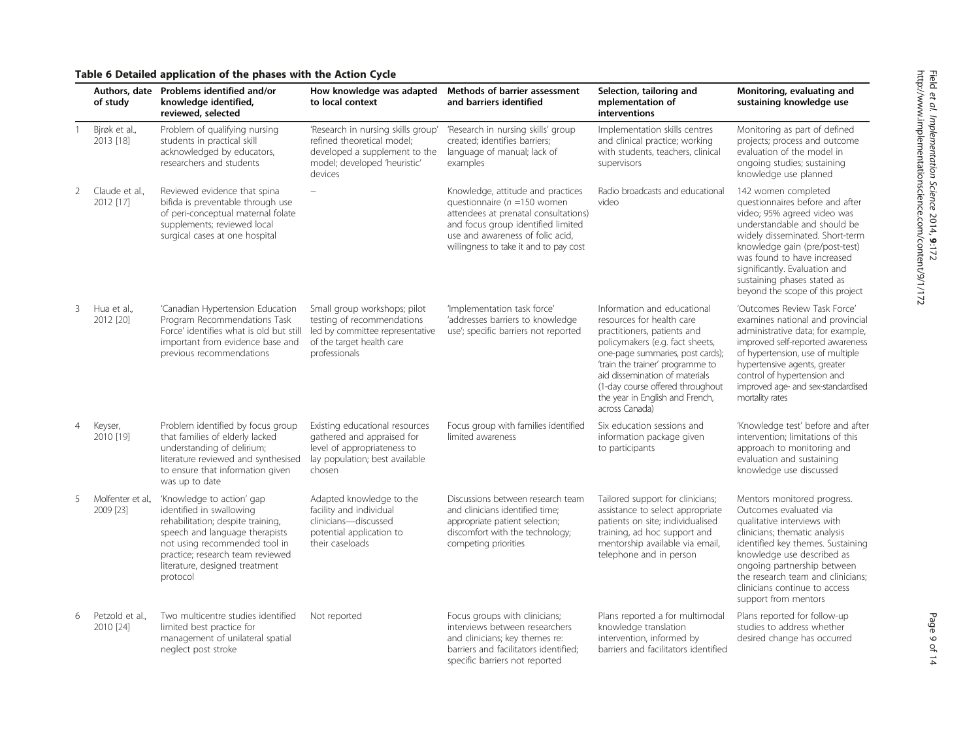| Selection, tailoring and<br>mplementation of<br>interventions                                                                                                                                                                                                                                              | Monitoring, evaluating and<br>sustaining knowledge use                                                                                                                                                                                                                                                                        |
|------------------------------------------------------------------------------------------------------------------------------------------------------------------------------------------------------------------------------------------------------------------------------------------------------------|-------------------------------------------------------------------------------------------------------------------------------------------------------------------------------------------------------------------------------------------------------------------------------------------------------------------------------|
| Implementation skills centres<br>and clinical practice; working<br>with students, teachers, clinical<br>supervisors                                                                                                                                                                                        | Monitoring as part of defined<br>projects; process and outcome<br>evaluation of the model in<br>ongoing studies; sustaining<br>knowledge use planned                                                                                                                                                                          |
| Radio broadcasts and educational<br>video                                                                                                                                                                                                                                                                  | 142 women completed<br>questionnaires before and after<br>video; 95% agreed video was<br>understandable and should be<br>widely disseminated. Short-term<br>knowledge gain (pre/post-test)<br>was found to have increased<br>significantly. Evaluation and<br>sustaining phases stated as<br>beyond the scope of this project |
| Information and educational<br>resources for health care<br>practitioners, patients and<br>policymakers (e.g. fact sheets,<br>one-page summaries, post cards);<br>'train the trainer' programme to<br>aid dissemination of materials<br>(1-day course offered throughout<br>the vear in English and French | 'Outcomes Review Task Force'<br>examines national and provincial<br>administrative data; for example,<br>improved self-reported awareness<br>of hypertension, use of multiple<br>hypertensive agents, greater<br>control of hypertension and<br>improved age- and sex-standardised<br>mortality rates                         |

# <span id="page-8-0"></span>Table 6 Detailed application of the phases with the Action Cycle

Authors, date Problems identified and/or

|              | of study                       | knowledge identified,<br>reviewed, selected                                                                                                                                                                                                     | to local context                                                                                                                             | and barriers identified                                                                                                                                                                                                          | mplementation of<br><b>interventions</b>                                                                                                                                                                                                                                                                                      | sustaining knowledge use                                                                                                                                                                                                                                                                                                      |
|--------------|--------------------------------|-------------------------------------------------------------------------------------------------------------------------------------------------------------------------------------------------------------------------------------------------|----------------------------------------------------------------------------------------------------------------------------------------------|----------------------------------------------------------------------------------------------------------------------------------------------------------------------------------------------------------------------------------|-------------------------------------------------------------------------------------------------------------------------------------------------------------------------------------------------------------------------------------------------------------------------------------------------------------------------------|-------------------------------------------------------------------------------------------------------------------------------------------------------------------------------------------------------------------------------------------------------------------------------------------------------------------------------|
| $\mathbf{1}$ | Bjrøk et al.,<br>2013 [18]     | Problem of qualifying nursing<br>students in practical skill<br>acknowledged by educators,<br>researchers and students                                                                                                                          | 'Research in nursing skills group'<br>refined theoretical model;<br>developed a supplement to the<br>model; developed 'heuristic'<br>devices | 'Research in nursing skills' group<br>created; identifies barriers;<br>language of manual; lack of<br>examples                                                                                                                   | Implementation skills centres<br>and clinical practice; working<br>with students, teachers, clinical<br>supervisors                                                                                                                                                                                                           | Monitoring as part of defined<br>projects; process and outcome<br>evaluation of the model in<br>ongoing studies; sustaining<br>knowledge use planned                                                                                                                                                                          |
| 2            | Claude et al.,<br>2012 [17]    | Reviewed evidence that spina<br>bifida is preventable through use<br>of peri-conceptual maternal folate<br>supplements; reviewed local<br>surgical cases at one hospital                                                                        |                                                                                                                                              | Knowledge, attitude and practices<br>questionnaire ( $n = 150$ women<br>attendees at prenatal consultations)<br>and focus group identified limited<br>use and awareness of folic acid.<br>willingness to take it and to pay cost | Radio broadcasts and educational<br>video                                                                                                                                                                                                                                                                                     | 142 women completed<br>questionnaires before and after<br>video; 95% agreed video was<br>understandable and should be<br>widely disseminated. Short-term<br>knowledge gain (pre/post-test)<br>was found to have increased<br>significantly. Evaluation and<br>sustaining phases stated as<br>beyond the scope of this project |
| 3            | Hua et al.,<br>2012 [20]       | 'Canadian Hypertension Education<br>Program Recommendations Task<br>Force' identifies what is old but still<br>important from evidence base and<br>previous recommendations                                                                     | Small group workshops; pilot<br>testing of recommendations<br>led by committee representative<br>of the target health care<br>professionals  | 'Implementation task force'<br>'addresses barriers to knowledge<br>use'; specific barriers not reported                                                                                                                          | Information and educational<br>resources for health care<br>practitioners, patients and<br>policymakers (e.g. fact sheets,<br>one-page summaries, post cards);<br>'train the trainer' programme to<br>aid dissemination of materials<br>(1-day course offered throughout<br>the year in English and French,<br>across Canada) | 'Outcomes Review Task Force'<br>examines national and provincial<br>administrative data; for example,<br>improved self-reported awareness<br>of hypertension, use of multiple<br>hypertensive agents, greater<br>control of hypertension and<br>improved age- and sex-standardised<br>mortality rates                         |
| 4            | Keyser,<br>2010 [19]           | Problem identified by focus group<br>that families of elderly lacked<br>understanding of delirium;<br>literature reviewed and synthesised<br>to ensure that information given<br>was up to date                                                 | Existing educational resources<br>gathered and appraised for<br>level of appropriateness to<br>lay population; best available<br>chosen      | Focus group with families identified<br>limited awareness                                                                                                                                                                        | Six education sessions and<br>information package given<br>to participants                                                                                                                                                                                                                                                    | 'Knowledge test' before and after<br>intervention; limitations of this<br>approach to monitoring and<br>evaluation and sustaining<br>knowledge use discussed                                                                                                                                                                  |
| 5            | Molfenter et al.,<br>2009 [23] | 'Knowledge to action' gap<br>identified in swallowing<br>rehabilitation; despite training,<br>speech and language therapists<br>not using recommended tool in<br>practice; research team reviewed<br>literature, designed treatment<br>protocol | Adapted knowledge to the<br>facility and individual<br>clinicians-discussed<br>potential application to<br>their caseloads                   | Discussions between research team<br>and clinicians identified time;<br>appropriate patient selection;<br>discomfort with the technology;<br>competing priorities                                                                | Tailored support for clinicians;<br>assistance to select appropriate<br>patients on site; individualised<br>training, ad hoc support and<br>mentorship available via email,<br>telephone and in person                                                                                                                        | Mentors monitored progress.<br>Outcomes evaluated via<br>qualitative interviews with<br>clinicians; thematic analysis<br>identified key themes. Sustaining<br>knowledge use described as<br>ongoing partnership between<br>the research team and clinicians:<br>clinicians continue to access<br>support from mentors         |
| 6            | Petzold et al.,<br>2010 [24]   | Two multicentre studies identified<br>limited best practice for<br>management of unilateral spatial<br>neglect post stroke                                                                                                                      | Not reported                                                                                                                                 | Focus groups with clinicians;<br>interviews between researchers<br>and clinicians; key themes re:<br>barriers and facilitators identified;<br>specific barriers not reported                                                     | Plans reported a for multimodal<br>knowledge translation<br>intervention, informed by<br>barriers and facilitators identified                                                                                                                                                                                                 | Plans reported for follow-up<br>studies to address whether<br>desired change has occurred                                                                                                                                                                                                                                     |

How knowledge was adapted Methods of barrier assessment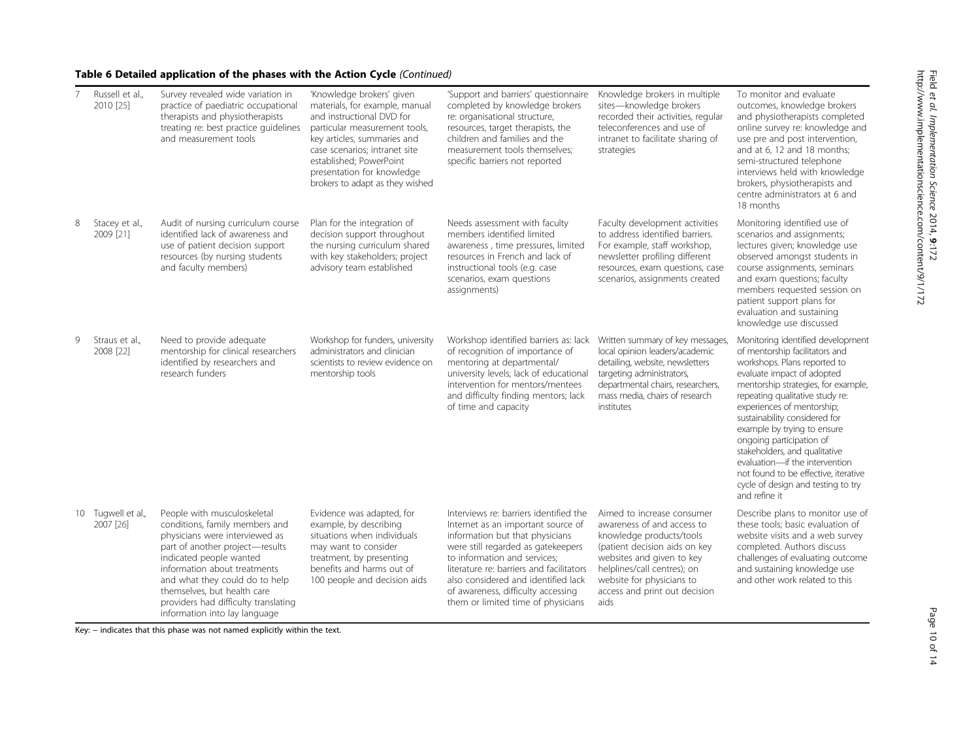# Table 6 Detailed application of the phases with the Action Cycle (Continued)

| 7 | Russell et al.,<br>2010 [25]    | Survey revealed wide variation in<br>practice of paediatric occupational<br>therapists and physiotherapists<br>treating re: best practice guidelines<br>and measurement tools                                                                                                                                                           | 'Knowledge brokers' given<br>materials, for example, manual<br>and instructional DVD for<br>particular measurement tools,<br>key articles, summaries and<br>case scenarios; intranet site<br>established; PowerPoint<br>presentation for knowledge<br>brokers to adapt as they wished | 'Support and barriers' questionnaire<br>completed by knowledge brokers<br>re: organisational structure,<br>resources, target therapists, the<br>children and families and the<br>measurement tools themselves;<br>specific barriers not reported                                                                                                     | Knowledge brokers in multiple<br>sites-knowledge brokers<br>recorded their activities, regular<br>teleconferences and use of<br>intranet to facilitate sharing of<br>strategies                                                                         | To monitor and evaluate<br>outcomes, knowledge brokers<br>and physiotherapists completed<br>online survey re: knowledge and<br>use pre and post intervention,<br>and at 6, 12 and 18 months;<br>semi-structured telephone<br>interviews held with knowledge<br>brokers, physiotherapists and<br>centre administrators at 6 and<br>18 months                                                                                                                                                             |
|---|---------------------------------|-----------------------------------------------------------------------------------------------------------------------------------------------------------------------------------------------------------------------------------------------------------------------------------------------------------------------------------------|---------------------------------------------------------------------------------------------------------------------------------------------------------------------------------------------------------------------------------------------------------------------------------------|------------------------------------------------------------------------------------------------------------------------------------------------------------------------------------------------------------------------------------------------------------------------------------------------------------------------------------------------------|---------------------------------------------------------------------------------------------------------------------------------------------------------------------------------------------------------------------------------------------------------|---------------------------------------------------------------------------------------------------------------------------------------------------------------------------------------------------------------------------------------------------------------------------------------------------------------------------------------------------------------------------------------------------------------------------------------------------------------------------------------------------------|
| 8 | Stacey et al.,<br>2009 [21]     | Audit of nursing curriculum course<br>identified lack of awareness and<br>use of patient decision support<br>resources (by nursing students<br>and faculty members)                                                                                                                                                                     | Plan for the integration of<br>decision support throughout<br>the nursing curriculum shared<br>with key stakeholders; project<br>advisory team established                                                                                                                            | Needs assessment with faculty<br>members identified limited<br>awareness, time pressures, limited<br>resources in French and lack of<br>instructional tools (e.g. case<br>scenarios, exam questions<br>assignments)                                                                                                                                  | Faculty development activities<br>to address identified barriers.<br>For example, staff workshop,<br>newsletter profiling different<br>resources, exam questions, case<br>scenarios, assignments created                                                | Monitoring identified use of<br>scenarios and assignments;<br>lectures given; knowledge use<br>observed amongst students in<br>course assignments, seminars<br>and exam questions; faculty<br>members requested session on<br>patient support plans for<br>evaluation and sustaining<br>knowledge use discussed                                                                                                                                                                                         |
| 9 | Straus et al.,<br>2008 [22]     | Need to provide adequate<br>mentorship for clinical researchers<br>identified by researchers and<br>research funders                                                                                                                                                                                                                    | Workshop for funders, university<br>administrators and clinician<br>scientists to review evidence on<br>mentorship tools                                                                                                                                                              | Workshop identified barriers as: lack<br>of recognition of importance of<br>mentoring at departmental/<br>university levels; lack of educational<br>intervention for mentors/mentees<br>and difficulty finding mentors; lack<br>of time and capacity                                                                                                 | Written summary of key messages<br>local opinion leaders/academic<br>detailing, website, newsletters<br>targeting administrators,<br>departmental chairs, researchers,<br>mass media, chairs of research<br>institutes                                  | Monitoring identified development<br>of mentorship facilitators and<br>workshops. Plans reported to<br>evaluate impact of adopted<br>mentorship strategies, for example,<br>repeating qualitative study re:<br>experiences of mentorship;<br>sustainability considered for<br>example by trying to ensure<br>ongoing participation of<br>stakeholders, and qualitative<br>evaluation-if the intervention<br>not found to be effective, iterative<br>cycle of design and testing to try<br>and refine it |
|   | 10 Tugwell et al.,<br>2007 [26] | People with musculoskeletal<br>conditions, family members and<br>physicians were interviewed as<br>part of another project-results<br>indicated people wanted<br>information about treatments<br>and what they could do to help<br>themselves, but health care<br>providers had difficulty translating<br>information into lay language | Evidence was adapted, for<br>example, by describing<br>situations when individuals<br>may want to consider<br>treatment, by presenting<br>benefits and harms out of<br>100 people and decision aids                                                                                   | Interviews re: barriers identified the<br>Internet as an important source of<br>information but that physicians<br>were still regarded as gatekeepers<br>to information and services:<br>literature re: barriers and facilitators<br>also considered and identified lack<br>of awareness, difficulty accessing<br>them or limited time of physicians | Aimed to increase consumer<br>awareness of and access to<br>knowledge products/tools<br>(patient decision aids on key<br>websites and given to key<br>helplines/call centres); on<br>website for physicians to<br>access and print out decision<br>aids | Describe plans to monitor use of<br>these tools: basic evaluation of<br>website visits and a web survey<br>completed. Authors discuss<br>challenges of evaluating outcome<br>and sustaining knowledge use<br>and other work related to this                                                                                                                                                                                                                                                             |

Key: − indicates that this phase was not named explicitly within the text.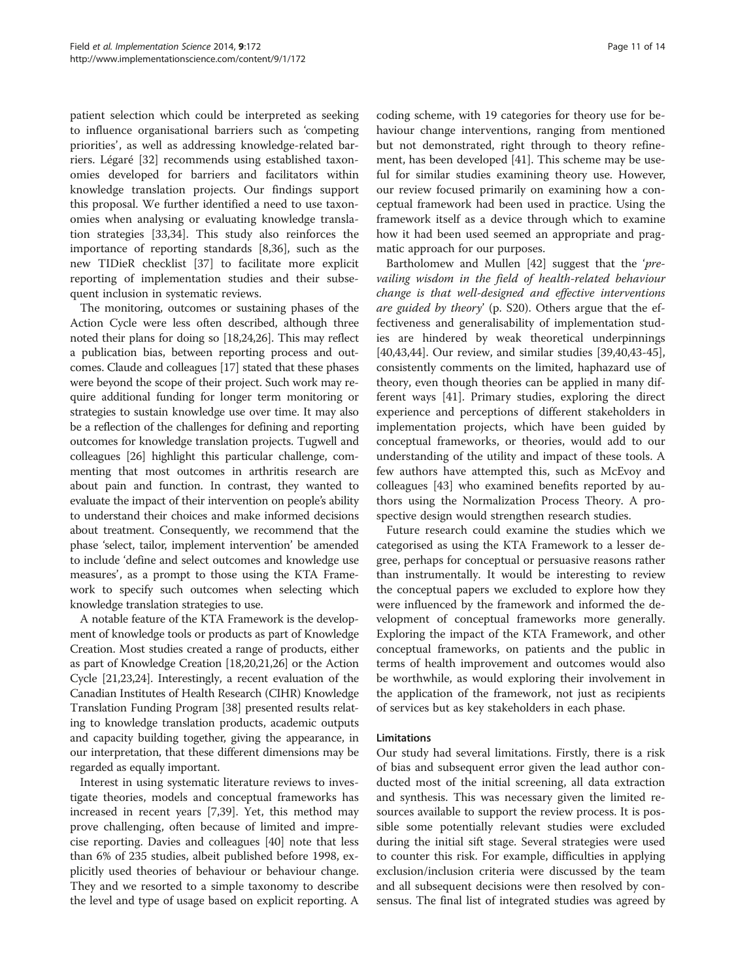patient selection which could be interpreted as seeking to influence organisational barriers such as 'competing priorities', as well as addressing knowledge-related barriers. Légaré [\[32](#page-13-0)] recommends using established taxonomies developed for barriers and facilitators within knowledge translation projects. Our findings support this proposal. We further identified a need to use taxonomies when analysing or evaluating knowledge translation strategies [[33](#page-13-0),[34](#page-13-0)]. This study also reinforces the importance of reporting standards [\[8](#page-12-0),[36](#page-13-0)], such as the new TIDieR checklist [[37\]](#page-13-0) to facilitate more explicit reporting of implementation studies and their subsequent inclusion in systematic reviews.

The monitoring, outcomes or sustaining phases of the Action Cycle were less often described, although three noted their plans for doing so [[18,24,26\]](#page-13-0). This may reflect a publication bias, between reporting process and outcomes. Claude and colleagues [\[17\]](#page-13-0) stated that these phases were beyond the scope of their project. Such work may require additional funding for longer term monitoring or strategies to sustain knowledge use over time. It may also be a reflection of the challenges for defining and reporting outcomes for knowledge translation projects. Tugwell and colleagues [\[26\]](#page-13-0) highlight this particular challenge, commenting that most outcomes in arthritis research are about pain and function. In contrast, they wanted to evaluate the impact of their intervention on people's ability to understand their choices and make informed decisions about treatment. Consequently, we recommend that the phase 'select, tailor, implement intervention' be amended to include 'define and select outcomes and knowledge use measures', as a prompt to those using the KTA Framework to specify such outcomes when selecting which knowledge translation strategies to use.

A notable feature of the KTA Framework is the development of knowledge tools or products as part of Knowledge Creation. Most studies created a range of products, either as part of Knowledge Creation [[18,20,21,26](#page-13-0)] or the Action Cycle [[21,23,24\]](#page-13-0). Interestingly, a recent evaluation of the Canadian Institutes of Health Research (CIHR) Knowledge Translation Funding Program [[38](#page-13-0)] presented results relating to knowledge translation products, academic outputs and capacity building together, giving the appearance, in our interpretation, that these different dimensions may be regarded as equally important.

Interest in using systematic literature reviews to investigate theories, models and conceptual frameworks has increased in recent years [[7,](#page-12-0)[39\]](#page-13-0). Yet, this method may prove challenging, often because of limited and imprecise reporting. Davies and colleagues [\[40](#page-13-0)] note that less than 6% of 235 studies, albeit published before 1998, explicitly used theories of behaviour or behaviour change. They and we resorted to a simple taxonomy to describe the level and type of usage based on explicit reporting. A

coding scheme, with 19 categories for theory use for behaviour change interventions, ranging from mentioned but not demonstrated, right through to theory refinement, has been developed [[41\]](#page-13-0). This scheme may be useful for similar studies examining theory use. However, our review focused primarily on examining how a conceptual framework had been used in practice. Using the framework itself as a device through which to examine how it had been used seemed an appropriate and pragmatic approach for our purposes.

Bartholomew and Mullen [\[42](#page-13-0)] suggest that the 'prevailing wisdom in the field of health-related behaviour change is that well-designed and effective interventions are guided by theory' (p. S20). Others argue that the effectiveness and generalisability of implementation studies are hindered by weak theoretical underpinnings [[40,43,44\]](#page-13-0). Our review, and similar studies [\[39,40,43-45](#page-13-0)], consistently comments on the limited, haphazard use of theory, even though theories can be applied in many different ways [\[41\]](#page-13-0). Primary studies, exploring the direct experience and perceptions of different stakeholders in implementation projects, which have been guided by conceptual frameworks, or theories, would add to our understanding of the utility and impact of these tools. A few authors have attempted this, such as McEvoy and colleagues [[43\]](#page-13-0) who examined benefits reported by authors using the Normalization Process Theory. A prospective design would strengthen research studies.

Future research could examine the studies which we categorised as using the KTA Framework to a lesser degree, perhaps for conceptual or persuasive reasons rather than instrumentally. It would be interesting to review the conceptual papers we excluded to explore how they were influenced by the framework and informed the development of conceptual frameworks more generally. Exploring the impact of the KTA Framework, and other conceptual frameworks, on patients and the public in terms of health improvement and outcomes would also be worthwhile, as would exploring their involvement in the application of the framework, not just as recipients of services but as key stakeholders in each phase.

#### Limitations

Our study had several limitations. Firstly, there is a risk of bias and subsequent error given the lead author conducted most of the initial screening, all data extraction and synthesis. This was necessary given the limited resources available to support the review process. It is possible some potentially relevant studies were excluded during the initial sift stage. Several strategies were used to counter this risk. For example, difficulties in applying exclusion/inclusion criteria were discussed by the team and all subsequent decisions were then resolved by consensus. The final list of integrated studies was agreed by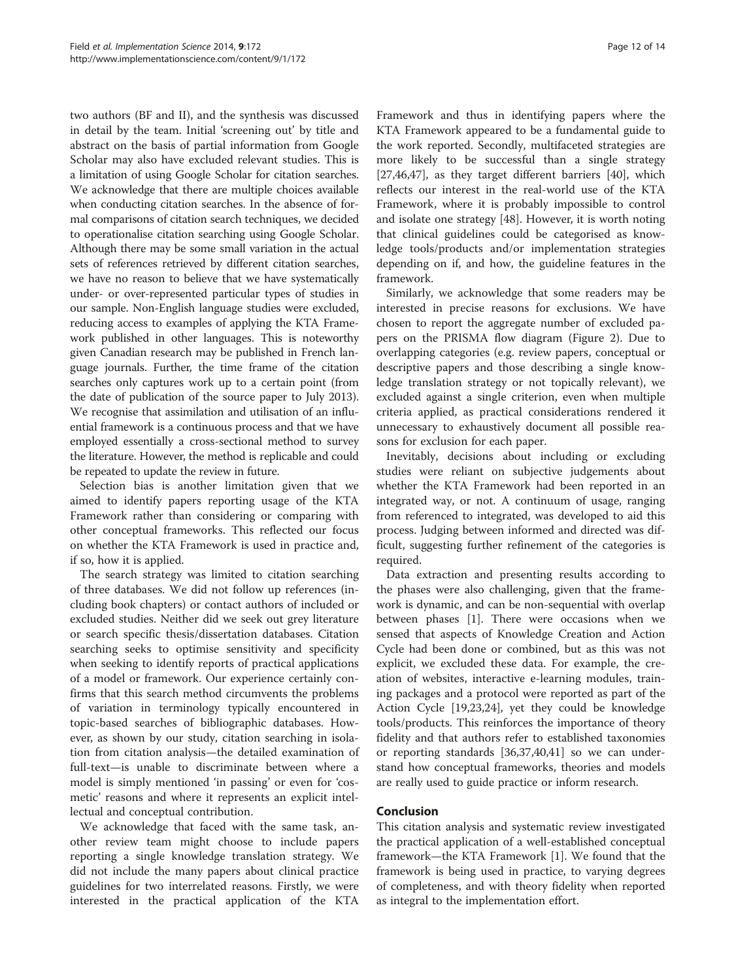two authors (BF and II), and the synthesis was discussed in detail by the team. Initial 'screening out' by title and abstract on the basis of partial information from Google Scholar may also have excluded relevant studies. This is a limitation of using Google Scholar for citation searches. We acknowledge that there are multiple choices available when conducting citation searches. In the absence of formal comparisons of citation search techniques, we decided to operationalise citation searching using Google Scholar. Although there may be some small variation in the actual sets of references retrieved by different citation searches, we have no reason to believe that we have systematically under- or over-represented particular types of studies in our sample. Non-English language studies were excluded, reducing access to examples of applying the KTA Framework published in other languages. This is noteworthy given Canadian research may be published in French language journals. Further, the time frame of the citation searches only captures work up to a certain point (from the date of publication of the source paper to July 2013). We recognise that assimilation and utilisation of an influential framework is a continuous process and that we have employed essentially a cross-sectional method to survey the literature. However, the method is replicable and could be repeated to update the review in future.

Selection bias is another limitation given that we aimed to identify papers reporting usage of the KTA Framework rather than considering or comparing with other conceptual frameworks. This reflected our focus on whether the KTA Framework is used in practice and, if so, how it is applied.

The search strategy was limited to citation searching of three databases. We did not follow up references (including book chapters) or contact authors of included or excluded studies. Neither did we seek out grey literature or search specific thesis/dissertation databases. Citation searching seeks to optimise sensitivity and specificity when seeking to identify reports of practical applications of a model or framework. Our experience certainly confirms that this search method circumvents the problems of variation in terminology typically encountered in topic-based searches of bibliographic databases. However, as shown by our study, citation searching in isolation from citation analysis—the detailed examination of full-text—is unable to discriminate between where a model is simply mentioned 'in passing' or even for 'cosmetic' reasons and where it represents an explicit intellectual and conceptual contribution.

We acknowledge that faced with the same task, another review team might choose to include papers reporting a single knowledge translation strategy. We did not include the many papers about clinical practice guidelines for two interrelated reasons. Firstly, we were interested in the practical application of the KTA

Framework and thus in identifying papers where the KTA Framework appeared to be a fundamental guide to the work reported. Secondly, multifaceted strategies are more likely to be successful than a single strategy [[27,46,47\]](#page-13-0), as they target different barriers [\[40\]](#page-13-0), which reflects our interest in the real-world use of the KTA Framework, where it is probably impossible to control and isolate one strategy [[48](#page-13-0)]. However, it is worth noting that clinical guidelines could be categorised as knowledge tools/products and/or implementation strategies depending on if, and how, the guideline features in the framework.

Similarly, we acknowledge that some readers may be interested in precise reasons for exclusions. We have chosen to report the aggregate number of excluded papers on the PRISMA flow diagram (Figure [2\)](#page-4-0). Due to overlapping categories (e.g. review papers, conceptual or descriptive papers and those describing a single knowledge translation strategy or not topically relevant), we excluded against a single criterion, even when multiple criteria applied, as practical considerations rendered it unnecessary to exhaustively document all possible reasons for exclusion for each paper.

Inevitably, decisions about including or excluding studies were reliant on subjective judgements about whether the KTA Framework had been reported in an integrated way, or not. A continuum of usage, ranging from referenced to integrated, was developed to aid this process. Judging between informed and directed was difficult, suggesting further refinement of the categories is required.

Data extraction and presenting results according to the phases were also challenging, given that the framework is dynamic, and can be non-sequential with overlap between phases [\[1](#page-12-0)]. There were occasions when we sensed that aspects of Knowledge Creation and Action Cycle had been done or combined, but as this was not explicit, we excluded these data. For example, the creation of websites, interactive e-learning modules, training packages and a protocol were reported as part of the Action Cycle [\[19,23,24](#page-13-0)], yet they could be knowledge tools/products. This reinforces the importance of theory fidelity and that authors refer to established taxonomies or reporting standards [\[36,37,40,41](#page-13-0)] so we can understand how conceptual frameworks, theories and models are really used to guide practice or inform research.

# Conclusion

This citation analysis and systematic review investigated the practical application of a well-established conceptual framework—the KTA Framework [[1\]](#page-12-0). We found that the framework is being used in practice, to varying degrees of completeness, and with theory fidelity when reported as integral to the implementation effort.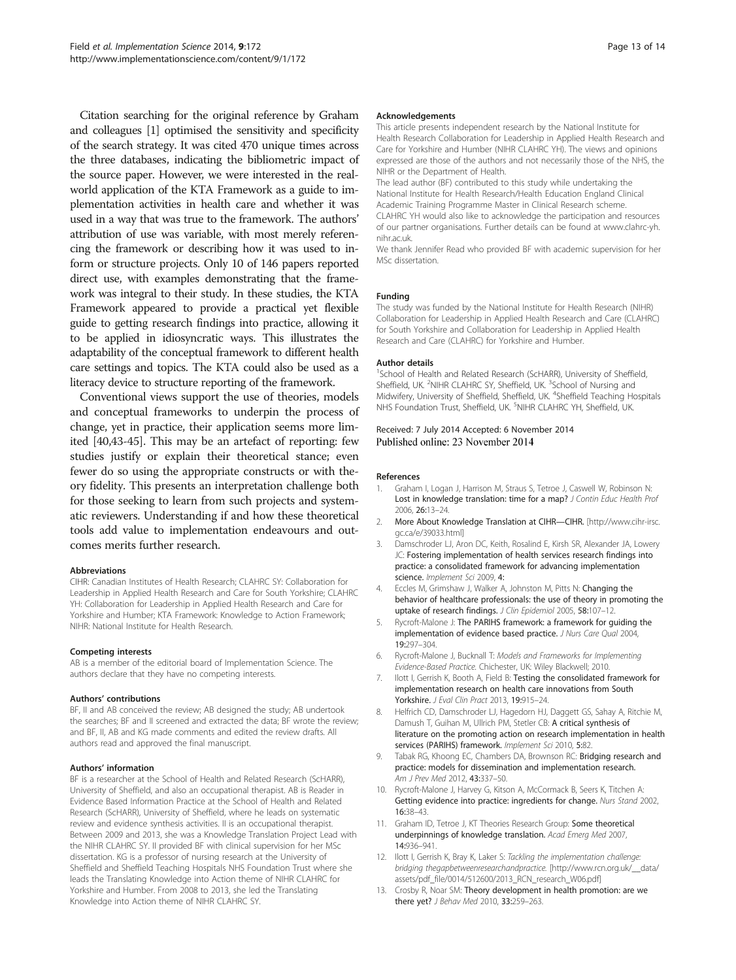<span id="page-12-0"></span>Citation searching for the original reference by Graham and colleagues [1] optimised the sensitivity and specificity of the search strategy. It was cited 470 unique times across the three databases, indicating the bibliometric impact of the source paper. However, we were interested in the realworld application of the KTA Framework as a guide to implementation activities in health care and whether it was used in a way that was true to the framework. The authors' attribution of use was variable, with most merely referencing the framework or describing how it was used to inform or structure projects. Only 10 of 146 papers reported direct use, with examples demonstrating that the framework was integral to their study. In these studies, the KTA Framework appeared to provide a practical yet flexible guide to getting research findings into practice, allowing it to be applied in idiosyncratic ways. This illustrates the adaptability of the conceptual framework to different health care settings and topics. The KTA could also be used as a literacy device to structure reporting of the framework.

Conventional views support the use of theories, models and conceptual frameworks to underpin the process of change, yet in practice, their application seems more limited [\[40,43-45\]](#page-13-0). This may be an artefact of reporting: few studies justify or explain their theoretical stance; even fewer do so using the appropriate constructs or with theory fidelity. This presents an interpretation challenge both for those seeking to learn from such projects and systematic reviewers. Understanding if and how these theoretical tools add value to implementation endeavours and outcomes merits further research.

#### Abbreviations

CIHR: Canadian Institutes of Health Research; CLAHRC SY: Collaboration for Leadership in Applied Health Research and Care for South Yorkshire; CLAHRC YH: Collaboration for Leadership in Applied Health Research and Care for Yorkshire and Humber; KTA Framework: Knowledge to Action Framework; NIHR: National Institute for Health Research.

#### Competing interests

AB is a member of the editorial board of Implementation Science. The authors declare that they have no competing interests.

#### Authors' contributions

BF, II and AB conceived the review; AB designed the study; AB undertook the searches; BF and II screened and extracted the data; BF wrote the review; and BF, II, AB and KG made comments and edited the review drafts. All authors read and approved the final manuscript.

#### Authors' information

BF is a researcher at the School of Health and Related Research (ScHARR), University of Sheffield, and also an occupational therapist. AB is Reader in Evidence Based Information Practice at the School of Health and Related Research (ScHARR), University of Sheffield, where he leads on systematic review and evidence synthesis activities. II is an occupational therapist. Between 2009 and 2013, she was a Knowledge Translation Project Lead with the NIHR CLAHRC SY. II provided BF with clinical supervision for her MSc dissertation. KG is a professor of nursing research at the University of Sheffield and Sheffield Teaching Hospitals NHS Foundation Trust where she leads the Translating Knowledge into Action theme of NIHR CLAHRC for Yorkshire and Humber. From 2008 to 2013, she led the Translating Knowledge into Action theme of NIHR CLAHRC SY.

#### Acknowledgements

This article presents independent research by the National Institute for Health Research Collaboration for Leadership in Applied Health Research and Care for Yorkshire and Humber (NIHR CLAHRC YH). The views and opinions expressed are those of the authors and not necessarily those of the NHS, the NIHR or the Department of Health.

The lead author (BF) contributed to this study while undertaking the National Institute for Health Research/Health Education England Clinical Academic Training Programme Master in Clinical Research scheme. CLAHRC YH would also like to acknowledge the participation and resources of our partner organisations. Further details can be found at [www.clahrc-yh.](http://www.clahrc-yh.nihr.ac.uk) [nihr.ac.uk.](http://www.clahrc-yh.nihr.ac.uk)

We thank Jennifer Read who provided BF with academic supervision for her MSc dissertation.

#### Funding

The study was funded by the National Institute for Health Research (NIHR) Collaboration for Leadership in Applied Health Research and Care (CLAHRC) for South Yorkshire and Collaboration for Leadership in Applied Health Research and Care (CLAHRC) for Yorkshire and Humber.

#### Author details

<sup>1</sup>School of Health and Related Research (ScHARR), University of Sheffield, Sheffield, UK. <sup>2</sup>NIHR CLAHRC SY, Sheffield, UK. <sup>3</sup>School of Nursing and Midwifery, University of Sheffield, Sheffield, UK. <sup>4</sup>Sheffield Teaching Hospitals NHS Foundation Trust, Sheffield, UK. <sup>5</sup>NIHR CLAHRC YH, Sheffield, UK

#### Received: 7 July 2014 Accepted: 6 November 2014 Published online: 23 November 2014

#### References

- 1. Graham I, Logan J, Harrison M, Straus S, Tetroe J, Caswell W, Robinson N: Lost in knowledge translation: time for a map? J Contin Educ Health Prof 2006, 26:13–24.
- 2. More About Knowledge Translation at CIHR—CIHR. [[http://www.cihr-irsc.](http://www.cihr-irsc.gc.ca/e/39033.html) [gc.ca/e/39033.html\]](http://www.cihr-irsc.gc.ca/e/39033.html)
- 3. Damschroder LJ, Aron DC, Keith, Rosalind E, Kirsh SR, Alexander JA, Lowery JC: Fostering implementation of health services research findings into practice: a consolidated framework for advancing implementation science. Implement Sci 2009, 4:
- 4. Eccles M, Grimshaw J, Walker A, Johnston M, Pitts N: Changing the behavior of healthcare professionals: the use of theory in promoting the uptake of research findings. J Clin Epidemiol 2005, 58:107-12.
- 5. Rycroft-Malone J: The PARIHS framework: a framework for guiding the implementation of evidence based practice. J Nurs Care Qual 2004, 19:297–304.
- 6. Rycroft-Malone J, Bucknall T: Models and Frameworks for Implementing Evidence-Based Practice. Chichester, UK: Wiley Blackwell; 2010.
- 7. Ilott I, Gerrish K, Booth A, Field B: Testing the consolidated framework for implementation research on health care innovations from South Yorkshire. J Eval Clin Pract 2013, 19:915–24.
- 8. Helfrich CD, Damschroder LJ, Hagedorn HJ, Daggett GS, Sahay A, Ritchie M, Damush T, Guihan M, Ullrich PM, Stetler CB: A critical synthesis of literature on the promoting action on research implementation in health services (PARIHS) framework. Implement Sci 2010, 5:82.
- 9. Tabak RG, Khoong EC, Chambers DA, Brownson RC: Bridging research and practice: models for dissemination and implementation research. Am J Prev Med 2012, 43:337–50.
- 10. Rycroft-Malone J, Harvey G, Kitson A, McCormack B, Seers K, Titchen A: Getting evidence into practice: ingredients for change. Nurs Stand 2002, 16:38–43.
- 11. Graham ID, Tetroe J, KT Theories Research Group: Some theoretical underpinnings of knowledge translation. Acad Emerg Med 2007, 14:936–941.
- 12. Ilott I, Gerrish K, Bray K, Laker S: Tackling the implementation challenge: bridging thegapbetweenresearchandpractice. [[http://www.rcn.org.uk/\\_\\_data/](http://www.rcn.org.uk/__data/assets/pdf_file/0014/512600/2013_RCN_research_W06.pdf) [assets/pdf\\_file/0014/512600/2013\\_RCN\\_research\\_W06.pdf\]](http://www.rcn.org.uk/__data/assets/pdf_file/0014/512600/2013_RCN_research_W06.pdf)
- 13. Crosby R, Noar SM: Theory development in health promotion: are we there yet? *J Behav Med* 2010, 33:259-263.